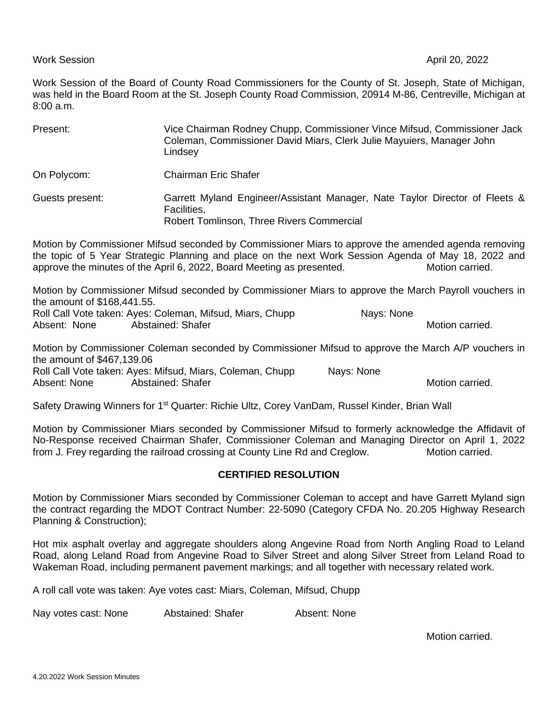Work Session of the Board of County Road Commissioners for the County of St. Joseph, State of Michigan, was held in the Board Room at the St. Joseph County Road Commission, 20914 M-86, Centreville, Michigan at 8:00 a.m.

| Present:        | Vice Chairman Rodney Chupp, Commissioner Vince Mifsud, Commissioner Jack<br>Coleman, Commissioner David Miars, Clerk Julie Mayuiers, Manager John<br>Lindsey |
|-----------------|--------------------------------------------------------------------------------------------------------------------------------------------------------------|
| On Polycom:     | Chairman Eric Shafer                                                                                                                                         |
| Guests present: | Garrett Myland Engineer/Assistant Manager, Nate Taylor Director of Fleets &<br>Facilities,<br>Robert Tomlinson, Three Rivers Commercial                      |
|                 |                                                                                                                                                              |

Motion by Commissioner Mifsud seconded by Commissioner Miars to approve the amended agenda removing the topic of 5 Year Strategic Planning and place on the next Work Session Agenda of May 18, 2022 and approve the minutes of the April 6, 2022, Board Meeting as presented. Motion carried.

Motion by Commissioner Mifsud seconded by Commissioner Miars to approve the March Payroll vouchers in the amount of \$168,441.55.

Roll Call Vote taken: Ayes: Coleman, Mifsud, Miars, Chupp Nays: None Absent: None Abstained: Shafer Motion carried. Absent: None Abstained: Shafer Motion carried.

Motion by Commissioner Coleman seconded by Commissioner Mifsud to approve the March A/P vouchers in the amount of \$467,139.06

Roll Call Vote taken: Ayes: Mifsud, Miars, Coleman, Chupp Nays: None Absent: None Abstained: Shafer Motion carried. Absent: None Abstained: Shafer Motion carried.

Safety Drawing Winners for 1<sup>st</sup> Quarter: Richie Ultz, Corey VanDam, Russel Kinder, Brian Wall

Motion by Commissioner Miars seconded by Commissioner Mifsud to formerly acknowledge the Affidavit of No-Response received Chairman Shafer, Commissioner Coleman and Managing Director on April 1, 2022 from J. Frey regarding the railroad crossing at County Line Rd and Creglow. Motion carried.

## **CERTIFIED RESOLUTION**

Motion by Commissioner Miars seconded by Commissioner Coleman to accept and have Garrett Myland sign the contract regarding the MDOT Contract Number: 22-5090 (Category CFDA No. 20.205 Highway Research Planning & Construction);

Hot mix asphalt overlay and aggregate shoulders along Angevine Road from North Angling Road to Leland Road, along Leland Road from Angevine Road to Silver Street and along Silver Street from Leland Road to Wakeman Road, including permanent pavement markings; and all together with necessary related work.

A roll call vote was taken: Aye votes cast: Miars, Coleman, Mifsud, Chupp

Nay votes cast: None Abstained: Shafer Absent: None

Motion carried.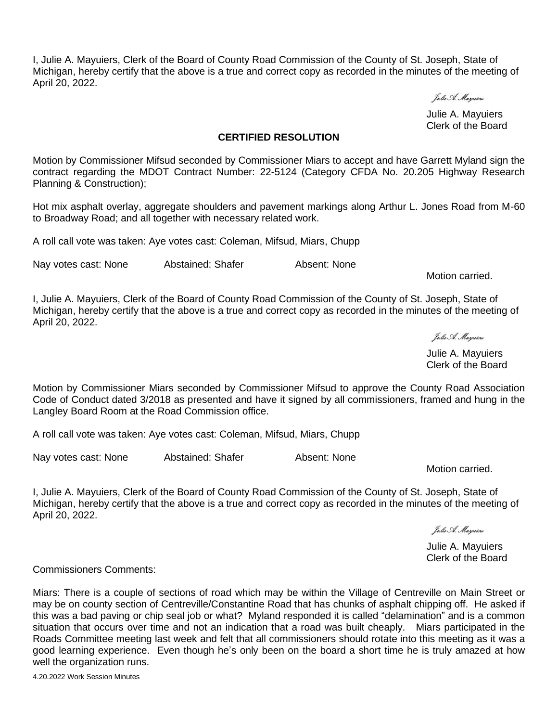I, Julie A. Mayuiers, Clerk of the Board of County Road Commission of the County of St. Joseph, State of Michigan, hereby certify that the above is a true and correct copy as recorded in the minutes of the meeting of April 20, 2022.

Julie A. Mayuiers

Julie A. Mayuiers Clerk of the Board

## **CERTIFIED RESOLUTION**

Motion by Commissioner Mifsud seconded by Commissioner Miars to accept and have Garrett Myland sign the contract regarding the MDOT Contract Number: 22-5124 (Category CFDA No. 20.205 Highway Research Planning & Construction);

Hot mix asphalt overlay, aggregate shoulders and pavement markings along Arthur L. Jones Road from M-60 to Broadway Road; and all together with necessary related work.

A roll call vote was taken: Aye votes cast: Coleman, Mifsud, Miars, Chupp

Nay votes cast: None Abstained: Shafer Absent: None

Motion carried.

I, Julie A. Mayuiers, Clerk of the Board of County Road Commission of the County of St. Joseph, State of Michigan, hereby certify that the above is a true and correct copy as recorded in the minutes of the meeting of April 20, 2022.

Julie A. Mayuiers

Julie A. Mayuiers Clerk of the Board

Motion by Commissioner Miars seconded by Commissioner Mifsud to approve the County Road Association Code of Conduct dated 3/2018 as presented and have it signed by all commissioners, framed and hung in the Langley Board Room at the Road Commission office.

A roll call vote was taken: Aye votes cast: Coleman, Mifsud, Miars, Chupp

Nay votes cast: None Abstained: Shafer Absent: None

Motion carried.

I, Julie A. Mayuiers, Clerk of the Board of County Road Commission of the County of St. Joseph, State of Michigan, hereby certify that the above is a true and correct copy as recorded in the minutes of the meeting of April 20, 2022.

Julie A. Mayuiers

Julie A. Mayuiers Clerk of the Board

Commissioners Comments:

Miars: There is a couple of sections of road which may be within the Village of Centreville on Main Street or may be on county section of Centreville/Constantine Road that has chunks of asphalt chipping off. He asked if this was a bad paving or chip seal job or what? Myland responded it is called "delamination" and is a common situation that occurs over time and not an indication that a road was built cheaply. Miars participated in the Roads Committee meeting last week and felt that all commissioners should rotate into this meeting as it was a good learning experience. Even though he's only been on the board a short time he is truly amazed at how well the organization runs.

4.20.2022 Work Session Minutes